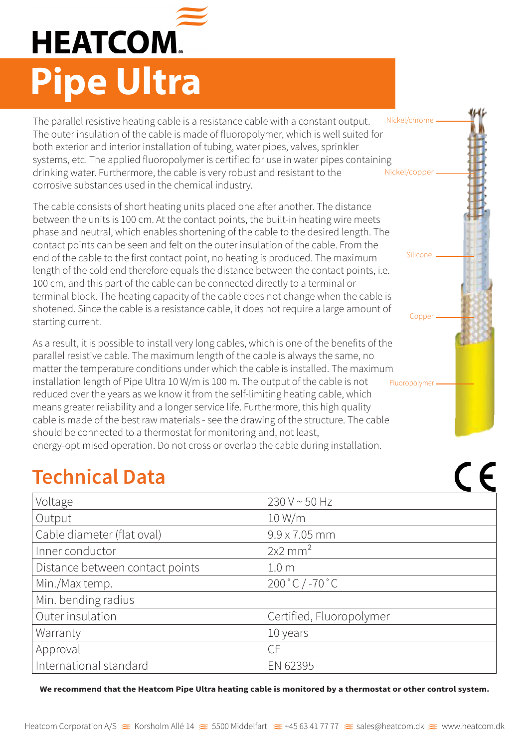## **HEATCOM. Pipe Ultra**

The parallel resistive heating cable is a resistance cable with a constant output. The outer insulation of the cable is made of fluoropolymer, which is well suited for both exterior and interior installation of tubing, water pipes, valves, sprinkler systems, etc. The applied fluoropolymer is certified for use in water pipes containing drinking water. Furthermore, the cable is very robust and resistant to the corrosive substances used in the chemical industry. Nickel/chrome Nickel/copper

The cable consists of short heating units placed one after another. The distance between the units is 100 cm. At the contact points, the built-in heating wire meets phase and neutral, which enables shortening of the cable to the desired length. The contact points can be seen and felt on the outer insulation of the cable. From the end of the cable to the first contact point, no heating is produced. The maximum length of the cold end therefore equals the distance between the contact points, i.e. 100 cm, and this part of the cable can be connected directly to a terminal or terminal block. The heating capacity of the cable does not change when the cable is shotened. Since the cable is a resistance cable, it does not require a large amount of starting current.

Silicone

Copper

 $\epsilon$ 

As a result, it is possible to install very long cables, which is one of the benefits of the parallel resistive cable. The maximum length of the cable is always the same, no matter the temperature conditions under which the cable is installed. The maximum installation length of Pipe Ultra 10 W/m is 100 m. The output of the cable is not reduced over the years as we know it from the self-limiting heating cable, which means greater reliability and a longer service life. Furthermore, this high quality cable is made of the best raw materials - see the drawing of the structure. The cable should be connected to a thermostat for monitoring and, not least, energy-optimised operation. Do not cross or overlap the cable during installation. Fluoropolymer

## **Technical Data**

| Voltage                         | $230 V - 50 Hz$                   |
|---------------------------------|-----------------------------------|
| Output                          | 10 W/m                            |
| Cable diameter (flat oval)      | $9.9 \times 7.05$ mm              |
| Inner conductor                 | $2x2$ mm <sup>2</sup>             |
| Distance between contact points | 1.0 <sub>m</sub>                  |
| Min./Max temp.                  | $200 \degree C$ / -70 $\degree C$ |
| Min. bending radius             |                                   |
| Outer insulation                | Certified, Fluoropolymer          |
| Warranty                        | 10 years                          |
| Approval                        | <b>CE</b>                         |
| International standard          | EN 62395                          |

**We recommend that the Heatcom Pipe Ultra heating cable is monitored by a thermostat or other control system.**